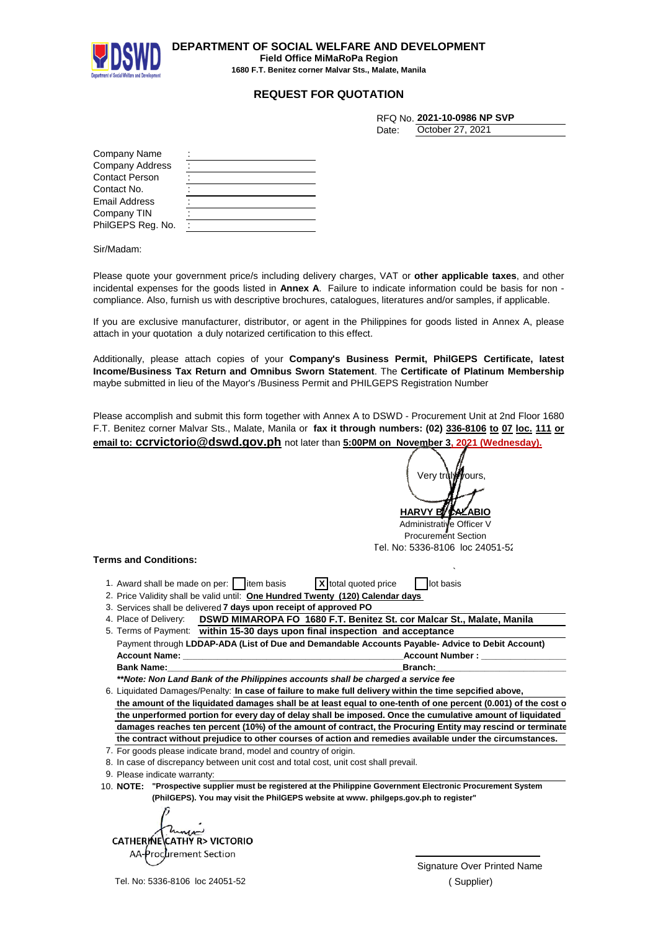

**DEPARTMENT OF SOCIAL WELFARE AND DEVELOPMENT Field Office MiMaRoPa Region**

**1680 F.T. Benitez corner Malvar Sts., Malate, Manila**

## **REQUEST FOR QUOTATION**

|       | RFQ No. 2021-10-0986 NP SVP |
|-------|-----------------------------|
| Date: | October 27, 2021            |

| Company Name           |  |
|------------------------|--|
| <b>Company Address</b> |  |
| <b>Contact Person</b>  |  |
| Contact No.            |  |
| Email Address          |  |
| Company TIN            |  |
| PhilGEPS Reg. No.      |  |

Sir/Madam:

Please quote your government price/s including delivery charges, VAT or **other applicable taxes**, and other incidental expenses for the goods listed in **Annex A**. Failure to indicate information could be basis for non compliance. Also, furnish us with descriptive brochures, catalogues, literatures and/or samples, if applicable.

If you are exclusive manufacturer, distributor, or agent in the Philippines for goods listed in Annex A, please attach in your quotation a duly notarized certification to this effect.

Additionally, please attach copies of your **Company's Business Permit, PhilGEPS Certificate, latest Income/Business Tax Return and Omnibus Sworn Statement**. The **Certificate of Platinum Membership** maybe submitted in lieu of the Mayor's /Business Permit and PHILGEPS Registration Number

Please accomplish and submit this form together with Annex A to DSWD - Procurement Unit at 2nd Floor 1680 F.T. Benitez corner Malvar Sts., Malate, Manila or **fax it through numbers: (02) 336-8106 to 07 loc. 111 or email to: ccrvictorio@dswd.gov.ph** not later than **5:00PM on November 3, 2021 (Wednesday).**

**HARVY B** Verv tr**∖l***i∰***v**ours

Administrative Officer V Procurement Section Tel. No: 5336-8106 loc 24051-52

## **Terms and Conditions:**

| 1. Award shall be made on per: $\Box$ item basis | X total quoted price | lot basis |
|--------------------------------------------------|----------------------|-----------|

- 2. Price Validity shall be valid until: **One Hundred Twenty (120) Calendar days**
- 3. Services shall be delivered **7 days upon receipt of approved PO**
- 4. Place of Delivery: **DSWD MIMAROPA FO 1680 F.T. Benitez St. cor Malcar St., Malate, Manila**  $5.7<sub>er</sub>$

|                                                                                                 | 5. Terms of Payment: within 15-30 days upon final inspection and acceptance |  |  |
|-------------------------------------------------------------------------------------------------|-----------------------------------------------------------------------------|--|--|
| Payment through LDDAP-ADA (List of Due and Demandable Accounts Payable-Advice to Debit Account) |                                                                             |  |  |
| <b>Account Name:</b>                                                                            | <b>Account Number :</b>                                                     |  |  |
| <b>Bank Name:</b>                                                                               | Branch:                                                                     |  |  |

*\*\*Note: Non Land Bank of the Philippines accounts shall be charged a service fee*

6. Liquidated Damages/Penalty: In case of failure to make full delivery within the time sepcified above, the amount of the liquidated damages shall be at least equal to one-tenth of one percent (0.001) of the cost o **the unperformed portion for every day of delay shall be imposed. Once the cumulative amount of liquidated damages reaches ten percent (10%) of the amount of contract, the Procuring Entity may rescind or terminate the contract without prejudice to other courses of action and remedies available under the circumstances.**

- 7. For goods please indicate brand, model and country of origin.
- 8. In case of discrepancy between unit cost and total cost, unit cost shall prevail.

9. Please indicate warranty:

10. **"Prospective supplier must be registered at the Philippine Government Electronic Procurement System NOTE: (PhilGEPS). You may visit the PhilGEPS website at www. philgeps.gov.ph to register"**

CATHERINE CATHY R. VICTORIO AA-Procurement Section  $\cup$